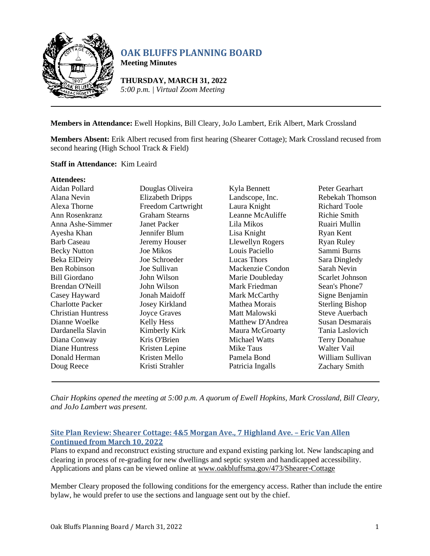

# **OAK BLUFFS PLANNING BOARD**

**Meeting Minutes**

**THURSDAY, MARCH 31, 2022** *5:00 p.m. | Virtual Zoom Meeting*

# **Members in Attendance:** Ewell Hopkins, Bill Cleary, JoJo Lambert, Erik Albert, Mark Crossland

**Members Absent:** Erik Albert recused from first hearing (Shearer Cottage); Mark Crossland recused from second hearing (High School Track & Field)

## **Staff in Attendance:** Kim Leaird

#### **Attendees:** Aidan Pollard Alana Nevin Alexa Thorne Ann Rosenkranz Anna Ashe-Simmer Ayesha Khan Barb Caseau Becky Nutton Beka ElDeiry Ben Robinson Bill Giordano Brendan O'Neill Casey Hayward Charlotte Packer Christian Huntress Dianne Woelke Dardanella Slavin Diana Conway Diane Huntress Donald Herman Doug Reece Douglas Oliveira Elizabeth Dripps Freedom Cartwright Graham Stearns Janet Packer Jennifer Blum Jeremy Houser Joe Mikos Joe Schroeder Joe Sullivan John Wilson John Wilson Jonah Maidoff Josey Kirkland Joyce Graves Kelly Hess Kimberly Kirk Kris O'Brien Kristen Lepine Kristen Mello Kristi Strahler Kyla Bennett Landscope, Inc. Laura Knight Leanne McAuliffe Lila Mikos Lisa Knight Llewellyn Rogers Louis Paciello Lucas Thors Mackenzie Condon Marie Doubleday Mark Friedman Mark McCarthy Mathea Morais Matt Malowski Matthew D'Andrea Maura McGroarty Michael Watts Mike Taus Pamela Bond Patricia Ingalls Peter Gearhart Rebekah Thomson Richard Toole Richie Smith Ruairi Mullin Ryan Kent Ryan Ruley Sammi Burns Sara Dingledy Sarah Nevin Scarlet Johnson Sean's Phone7 Signe Benjamin Sterling Bishop Steve Auerbach Susan Desmarais Tania Laslovich Terry Donahue Walter Vail William Sullivan Zachary Smith

*Chair Hopkins opened the meeting at 5:00 p.m. A quorum of Ewell Hopkins, Mark Crossland, Bill Cleary, and JoJo Lambert was present.*

# **Site Plan Review: Shearer Cottage: 4&5 Morgan Ave., 7 Highland Ave. – Eric Van Allen Continued from March 10, 2022**

Plans to expand and reconstruct existing structure and expand existing parking lot. New landscaping and clearing in process of re-grading for new dwellings and septic system and handicapped accessibility. Applications and plans can be viewed online at [www.oakbluffsma.gov/473/Shearer-Cottage](http://www.oakbluffsma.gov/473/Shearer-Cottage)

Member Cleary proposed the following conditions for the emergency access. Rather than include the entire bylaw, he would prefer to use the sections and language sent out by the chief.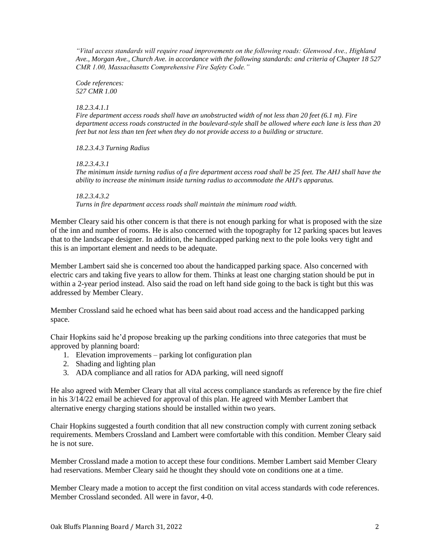*"Vital access standards will require road improvements on the following roads: Glenwood Ave., Highland Ave., Morgan Ave., Church Ave. in accordance with the following standards: and criteria of Chapter 18 527 CMR 1.00, Massachusetts Comprehensive Fire Safety Code."*

*Code references: 527 CMR 1.00*

#### *18.2.3.4.1.1*

*Fire department access roads shall have an unobstructed width of not less than 20 feet (6.1 m). Fire department access roads constructed in the boulevard-style shall be allowed where each lane is less than 20 feet but not less than ten feet when they do not provide access to a building or structure.*

*18.2.3.4.3 Turning Radius*

*18.2.3.4.3.1*

*The minimum inside turning radius of a fire department access road shall be 25 feet. The AHJ shall have the ability to increase the minimum inside turning radius to accommodate the AHJ's apparatus.*

*18.2.3.4.3.2 Turns in fire department access roads shall maintain the minimum road width.*

Member Cleary said his other concern is that there is not enough parking for what is proposed with the size of the inn and number of rooms. He is also concerned with the topography for 12 parking spaces but leaves that to the landscape designer. In addition, the handicapped parking next to the pole looks very tight and this is an important element and needs to be adequate.

Member Lambert said she is concerned too about the handicapped parking space. Also concerned with electric cars and taking five years to allow for them. Thinks at least one charging station should be put in within a 2-year period instead. Also said the road on left hand side going to the back is tight but this was addressed by Member Cleary.

Member Crossland said he echoed what has been said about road access and the handicapped parking space.

Chair Hopkins said he'd propose breaking up the parking conditions into three categories that must be approved by planning board:

- 1. Elevation improvements parking lot configuration plan
- 2. Shading and lighting plan
- 3. ADA compliance and all ratios for ADA parking, will need signoff

He also agreed with Member Cleary that all vital access compliance standards as reference by the fire chief in his 3/14/22 email be achieved for approval of this plan. He agreed with Member Lambert that alternative energy charging stations should be installed within two years.

Chair Hopkins suggested a fourth condition that all new construction comply with current zoning setback requirements. Members Crossland and Lambert were comfortable with this condition. Member Cleary said he is not sure.

Member Crossland made a motion to accept these four conditions. Member Lambert said Member Cleary had reservations. Member Cleary said he thought they should vote on conditions one at a time.

Member Cleary made a motion to accept the first condition on vital access standards with code references. Member Crossland seconded. All were in favor, 4-0.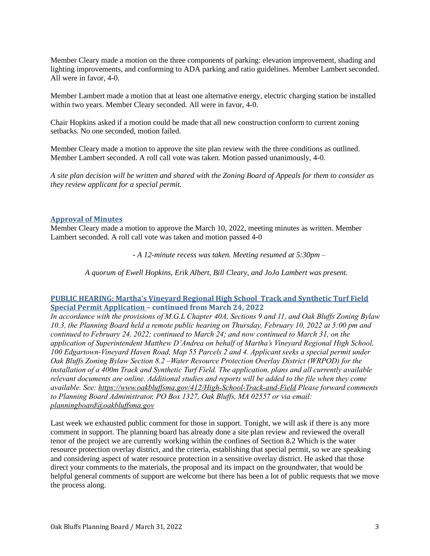Member Cleary made a motion on the three components of parking: elevation improvement, shading and lighting improvements, and conforming to ADA parking and ratio guidelines. Member Lambert seconded. All were in favor, 4-0.

Member Lambert made a motion that at least one alternative energy, electric charging station be installed within two years. Member Cleary seconded. All were in favor, 4-0.

Chair Hopkins asked if a motion could be made that all new construction conform to current zoning setbacks. No one seconded, motion failed.

Member Cleary made a motion to approve the site plan review with the three conditions as outlined. Member Lambert seconded. A roll call vote was taken. Motion passed unanimously, 4-0.

*A site plan decision will be written and shared with the Zoning Board of Appeals for them to consider as they review applicant for a special permit.*

## **Approval of Minutes**

Member Cleary made a motion to approve the March 10, 2022, meeting minutes as written. Member Lambert seconded. A roll call vote was taken and motion passed 4-0

*- A 12-minute recess was taken. Meeting resumed at 5:30pm –*

*A quorum of Ewell Hopkins, Erik Albert, Bill Cleary, and JoJo Lambert was present.*

## **PUBLIC HEARING: Martha's Vineyard Regional High School Track and Synthetic Turf Field Special Permit Application – continued from March 24, 2022**

*In accordance with the provisions of M.G.L Chapter 40A, Sections 9 and 11, and Oak Bluffs Zoning Bylaw 10.3, the Planning Board held a remote public hearing on Thursday, February 10, 2022 at 5:00 pm and continued to February 24, 2022; continued to March 24; and now continued to March 31, on the application of Superintendent Matthew D'Andrea on behalf of Martha's Vineyard Regional High School, 100 Edgartown-Vineyard Haven Road, Map 55 Parcels 2 and 4. Applicant seeks a special permit under Oak Bluffs Zoning Bylaw Section 8.2 –Water Resource Protection Overlay District (WRPOD) for the installation of a 400m Track and Synthetic Turf Field. The application, plans and all currently available relevant documents are online. Additional studies and reports will be added to the file when they come available. See:<https://www.oakbluffsma.gov/412/High-School-Track-and-Field> Please forward comments to Planning Board Administrator, PO Box 1327, Oak Bluffs, MA 02557 or via email: [planningboard@oakbluffsma.gov](mailto:planningboard@oakbluffsma.gov)*

Last week we exhausted public comment for those in support. Tonight, we will ask if there is any more comment in support. The planning board has already done a site plan review and reviewed the overall tenor of the project we are currently working within the confines of Section 8.2 Which is the water resource protection overlay district, and the criteria, establishing that special permit, so we are speaking and considering aspect of water resource protection in a sensitive overlay district. He asked that those direct your comments to the materials, the proposal and its impact on the groundwater, that would be helpful general comments of support are welcome but there has been a lot of public requests that we move the process along.